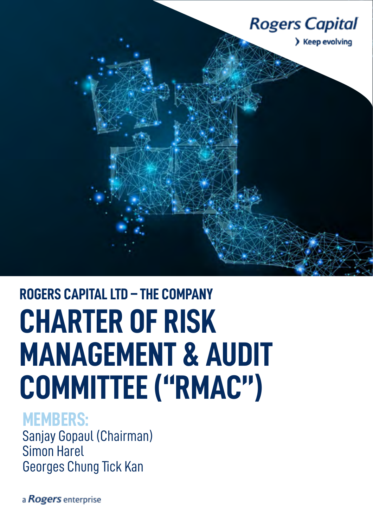

# **ROGERS CAPITAL LTD – THE COMPANY CHARTER OF RISK MANAGEMENT & AUDIT COMMITTEE ("RMAC")**

# **MEMBERS:**

Sanjay Gopaul (Chairman) Simon Harel Georges Chung Tick Kan

a Rogers enterprise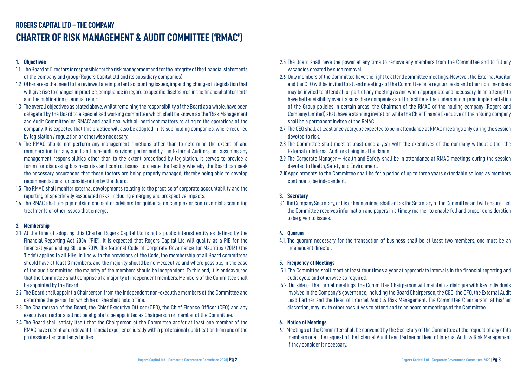# **ROGERS CAPITAL LTD – THE COMPANY CHARTER OF RISK MANAGEMENT & AUDIT COMMITTEE ('RMAC')**

# **1. Objectives**

- 1.1 The Board of Directors is responsible for the risk management and for the integrity of the financial statements of the company and group (Rogers Capital Ltd and its subsidiary companies).
- 1.2 Other areas that need to be reviewed are important accounting issues, impending changes in legislation that will give rise to changes in practice, compliance in regard to specific disclosures in the financial statements and the publication of annual report.
- 1.3 The overall objectives as stated above, whilst remaining the responsibility of the Board as a whole, have been delegated by the Board to a specialised working committee which shall be known as the 'Risk Management and Audit Committee' or 'RMAC' and shall deal with all pertinent matters relating to the operations of the company. It is expected that this practice will also be adopted in its sub holding companies, where required by legislation / regulation or otherwise necessary.
- 1.4 The RMAC should not perform any management functions other than to determine the extent of and remuneration for any audit and non-audit services performed by the External Auditors nor assumes any management responsibilities other than to the extent prescribed by legislation. It serves to provide a forum for discussing business risk and control issues, to create the facility whereby the Board can seek the necessary assurances that these factors are being properly managed, thereby being able to develop recommendations for consideration by the Board.
- 1.5 The RMAC shall monitor external developments relating to the practice of corporate accountability and the reporting of specifically associated risks, including emerging and prospective impacts.
- 1.6 The RMAC shall engage outside counsel or advisors for guidance on complex or controversial accounting treatments or other issues that emerge.

# **2. Membership**

- 2.1 At the time of adopting this Charter, Rogers Capital Ltd is not a public interest entity as defined by the Financial Reporting Act 2004 ('PIE'). It is expected that Rogers Capital Ltd will qualify as a PIE for the financial year ending 30 June 2019. The National Code of Corporate Governance for Mauritius (2016) (the 'Code') applies to all PIEs. In line with the provisions of the Code, the membership of all Board committees should have at least 3 members, and the majority should be non-executive and where possible, in the case of the audit committee, the majority of the members should be independent. To this end, it is endeavoured that the Committee shall comprise of a majority of independent members. Members of the Committee shall be appointed by the Board.
- 2.2 The Board shall appoint a Chairperson from the independent non-executive members of the Committee and determine the period for which he or she shall hold office.
- 2.3 The Chairperson of the Board, the Chief Executive Officer (CEO), the Chief Finance Officer (CFO) and any executive director shall not be eligible to be appointed as Chairperson or member of the Committee.
- 2.4 The Board shall satisfy itself that the Chairperson of the Committee and/or at least one member of the RMAC have recent and relevant financial experience ideally with a professional qualification from one of the professional accountancy bodies.

and the CFO will be invited to attend meetings of the Committee on a regular basis and other non-members may be invited to attend all or part of any meeting as and when appropriate and necessary. In an attempt to have better visibility over its subsidiary companies and to facilitate the understanding and implementation of the Group policies in certain areas, the Chairman of the RMAC of the holding company (Rogers and Company Limited) shall have a standing invitation while the Chief Finance Executive of the holding company

- 2.5 The Board shall have the power at any time to remove any members from the Committee and to fill any vacancies created by such removal.
- 2.6 Only members of the Committee have the right to attend committee meetings. However, the External Auditor shall be a permanent invitee of the RMAC.
- 2.7 The CEO shall, at least once yearly, be expected to be in attendance at RMAC meetings only during the session devoted to risk.
- 2.8 The Committee shall meet at least once a year with the executives of the company without either the External or Internal Auditors being in attendance.
- 2.9 The Corporate Manager Health and Safety shall be in attendance at RMAC meetings during the session devoted to Health, Safety and Environment.
- 2.10Appointments to the Committee shall be for a period of up to three years extendable so long as members continue to be independent.

# **3. Secretary**

3.1. The Company Secretary, or his or her nominee, shall act as the Secretary of the Committee and will ensure that to be given to issues.

the Committee receives information and papers in a timely manner to enable full and proper consideration

# **4. Quorum**

4.1. The quorum necessary for the transaction of business shall be at least two members; one must be an independent director.

# **5. Frequency of Meetings**

- 5.1. The Committee shall meet at least four times a year at appropriate intervals in the financial reporting and audit cycle and otherwise as required.
- 5.2. Outside of the formal meetings, the Committee Chairperson will maintain a dialogue with key individuals discretion, may invite other executives to attend and to be heard at meetings of the Committee.

involved in the Company's governance, including the Board Chairperson, the CEO, the CFO, the External Audit Lead Partner and the Head of Internal Audit & Risk Management. The Committee Chairperson, at his/her

# **6. Notice of Meetings**

6.1. Meetings of the Committee shall be convened by the Secretary of the Committee at the request of any of its if they consider it necessary.

members or at the request of the External Audit Lead Partner or Head of Internal Audit & Risk Management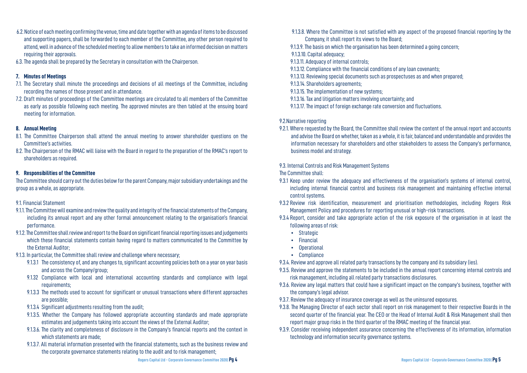- 6.2. Notice of each meeting confirming the venue, time and date together with an agenda of items to be discussed and supporting papers, shall be forwarded to each member of the Committee, any other person required to attend, well in advance of the scheduled meeting to allow members to take an informed decision on matters requiring their approvals.
- 6.3. The agenda shall be prepared by the Secretary in consultation with the Chairperson.

#### **7. Minutes of Meetings**

- 7.1. The Secretary shall minute the proceedings and decisions of all meetings of the Committee, including recording the names of those present and in attendance.
- 7.2. Draft minutes of proceedings of the Committee meetings are circulated to all members of the Committee as early as possible following each meeting. The approved minutes are then tabled at the ensuing board meeting for information.

#### **8. Annual Meeting**

- 8.1. The Committee Chairperson shall attend the annual meeting to answer shareholder questions on the Committee's activities.
- 8.2. The Chairperson of the RMAC will liaise with the Board in regard to the preparation of the RMAC's report to shareholders as required.

#### **9. Responsibilities of the Committee**

The Committee should carry out the duties below for the parent Company, major subsidiary undertakings and the group as a whole, as appropriate.

#### 9.1. Financial Statement

- 9.1.1. The Committee will examine and review the quality and integrity of the financial statements of the Company, including its annual report and any other formal announcement relating to the organisation's financial performance.
- 9.1.2. The Committee shall review and report to the Board on significant financial reporting issues and judgements which these financial statements contain having regard to matters communicated to the Committee by the External Auditor;
- 9.1.3. In particular, the Committee shall review and challenge where necessary;
	- 9.1.3.1 The consistency of, and any changes to, significant accounting policies both on a year on year basis and across the Company/group;
	- 9.1.32 Compliance with local and international accounting standards and compliance with legal requirements;
	- 9.1.3.3 The methods used to account for significant or unusual transactions where different approaches are possible;
	- 9.1.3.4 Significant adjustments resulting from the audit;
	- 9.1.3.5. Whether the Company has followed appropriate accounting standards and made appropriate estimates and judgements taking into account the views of the External Auditor;
	- 9.1.3.6. The clarity and completeness of disclosure in the Company's financial reports and the context in which statements are made;
	- 9.1.3.7. All material information presented with the financial statements, such as the business review and the corporate governance statements relating to the audit and to risk management;

9.1.3.8. Where the Committee is not satisfied with any aspect of the proposed financial reporting by the

- 
- Company, it shall report its views to the Board;
- 9.1.3.9. The basis on which the organisation has been determined a going concern;
- 9.1.3.10. Capital adequacy;
- 9.1.3.11. Adequacy of internal controls;
- 9.1.3.12. Compliance with the financial conditions of any loan covenants;
- 9.1.3.13. Reviewing special documents such as prospectuses as and when prepared;
- 9.1.3.14. Shareholders agreements;
- 9.1.3.15. The implementation of new systems;
- 9.1.3.16. Tax and litigation matters involving uncertainty; and
- 9.1.3.17. The impact of foreign exchange rate conversion and fluctuations.

#### 9.2.Narrative reporting

9.2.1. Where requested by the Board, the Committee shall review the content of the annual report and accounts business model and strategy.

and advise the Board on whether, taken as a whole, it is fair, balanced and understandable and provides the information necessary for shareholders and other stakeholders to assess the Company's performance,

9.3. Internal Controls and Risk Management Systems The Committee shall:

including internal financial control and business risk management and maintaining effective internal

- 9.3.1 Keep under review the adequacy and effectiveness of the organisation's systems of internal control, control systems.
- 9.3.2 Review risk identification, measurement and prioritisation methodologies, including Rogers Risk Management Policy and procedures for reporting unusual or high-risk transactions.
- 9.3.4 Report, consider and take appropriate action of the risk exposure of the organisation in at least the following areas of risk:
	- Strategic
	- **Financial**
	- Operational
	- Compliance

9.3.4. Review and approve all related party transactions by the company and its subsidiary (ies).

9.3.5. Review and approve the statements to be included in the annual report concerning internal controls and risk management, including all related party transactions disclosures.

9.3.8. The Managing Director of each sector shall report on risk management to their respective Boards in the second quarter of the financial year. The CEO or the Head of Internal Audit & Risk Management shall then

- 9.3.6. Review any legal matters that could have a significant impact on the company's business, together with the company's legal advisor.
- 9.3.7. Review the adequacy of insurance coverage as well as the uninsured exposures.
- report major group risks in the third quarter of the RMAC meeting of the financial year.
- 9.3.9. Consider receiving independent assurance concerning the effectiveness of its information, information technology and information security governance systems.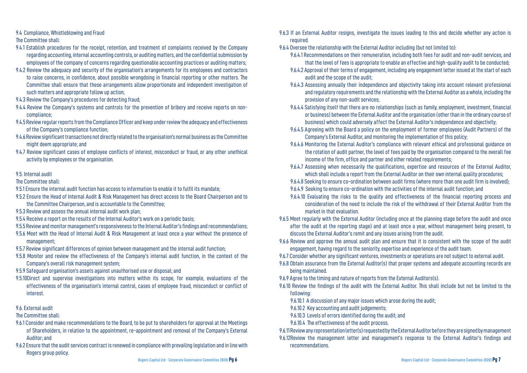9.4 Compliance, Whistleblowing and Fraud

The Committee shall:

- 9.4.1 Establish procedures for the receipt, retention, and treatment of complaints received by the Company regarding accounting, internal accounting controls, or auditing matters, and the confidential submission by employees of the company of concerns regarding questionable accounting practices or auditing matters;
- 9.4.2 Review the adequacy and security of the organisation's arrangements for its employees and contractors to raise concerns, in confidence, about possible wrongdoing in financial reporting or other matters. The Committee shall ensure that these arrangements allow proportionate and independent investigation of such matters and appropriate follow up action;
- 9.4.3 Review the Company's procedures for detecting fraud;
- 9.4.4 Review the Company's systems and controls for the prevention of bribery and receive reports on noncompliance;
- 9.4.5 Review regular reports from the Compliance Officer and keep under review the adequacy and effectiveness of the Company's compliance function;
- 9.4.6 Review significant transactions not directly related to the organisation's normal business as the Committee might deem appropriate; and
- 9.4.7 Review significant cases of employee conflicts of interest, misconduct or fraud, or any other unethical activity by employees or the organisation.

# 9.5. Internal audit

The Committee shall:

- 9.5.1 Ensure the internal audit function has access to information to enable it to fulfil its mandate;
- 9.5.2 Ensure the Head of Internal Audit & Risk Management has direct access to the Board Chairperson and to the Committee Chairperson, and is accountable to the Committee;
- 9.5.3 Review and assess the annual internal audit work plan;
- 9.5.4 Receive a report on the results of the Internal Auditor's work on a periodic basis;
- 9.5.5 Review and monitor management's responsiveness to the Internal Auditor's findings and recommendations;
- 9.5.6 Meet with the Head of Internal Audit & Risk Management at least once a year without the presence of management;
- 9.5.7 Review significant differences of opinion between management and the internal audit function;
- 9.5.8 Monitor and review the effectiveness of the Company's internal audit function, in the context of the Company's overall risk management system;
- 9.5.9 Safeguard organisation's assets against unauthorised use or disposal; and
- 9.5.10Direct and supervise investigations into matters within its scope, for example, evaluations of the effectiveness of the organisation's internal control, cases of employee fraud, misconduct or conflict of interest.
- 9.6. External audit

The Committee shall:

- 9.6.1 Consider and make recommendations to the Board, to be put to shareholders for approval at the Meetings of Shareholders, in relation to the appointment, re-appointment and removal of the Company's External Auditor; and
- 9.6.2 Ensure that the audit services contract is renewed in compliance with prevailing legislation and in line with Rogers group policy.

9.6.4.1 Recommendations on their remuneration, including both fees for audit and non-audit services, and that the level of fees is appropriate to enable an effective and high-quality audit to be conducted; 9.6.4.2 Approval of their terms of engagement, including any engagement letter issued at the start of each

9.6.4.3 Assessing annually their independence and objectivity taking into account relevant professional and regulatory requirements and the relationship with the External Auditor as a whole, including the

9.6.4.4 Satisfying itself that there are no relationships (such as family, employment, investment, financial or business) between the External Auditor and the organisation (other than in the ordinary course of business) which could adversely affect the External Auditor's independence and objectivity;

9.6.4.5 Agreeing with the Board a policy on the employment of former employees (Audit Partners) of the

9.6.4.6 Monitoring the External Auditor's compliance with relevant ethical and professional guidance on the rotation of audit partner, the level of fees paid by the organisation compared to the overall fee

9.6.4.7 Assessing when necessarily the qualifications, expertise and resources of the External Auditor, which shall include a report from the External Auditor on their own internal quality procedures;

- 9.6.3 If an External Auditor resigns, investigate the issues leading to this and decide whether any action is required.
- 9.6.4 Oversee the relationship with the External Auditor including (but not limited to):
	-
	- audit and the scope of the audit;
	- provision of any non-audit services;
	-
	- Company's External Auditor, and monitoring the implementation of this policy;
	- income of the firm, office and partner and other related requirements;
	-
	-
	- 9.6.4.9 Seeking to ensure co-ordination with the activities of the internal audit function; and
	- market in that evaluation.
- 9.6.5 Meet regularly with the External Auditor (including once at the planning stage before the audit and once discuss the External Auditor's remit and any issues arising from the audit.
- 9.6.6 Review and approve the annual audit plan and ensure that it is consistent with the scope of the audit engagement, having regard to the seniority, expertise and experience of the audit team.
- 9.6.7 Consider whether any significant ventures, investments or operations are not subject to external audit.
- 9.6.8 Obtain assurance from the External Auditor(s) that proper systems and adequate accounting records are being maintained.
- 9.6.9 Agree to the timing and nature of reports from the External Auditors(s).
- 9.6.10 Review the findings of the audit with the External Auditor. This shall include but not be limited to the following:
	- 9.6.10.1 A discussion of any major issues which arose during the audit;
	- 9.6.10.2 Key accounting and audit judgements;
	- 9.6.10.3 Levels of errors identified during the audit; and
	- 9.6.10.4 The effectiveness of the audit process.
- 9.6.11 Review any representation letter(s) requested by the External Auditor before they are signed by management
- 9.6.12Review the management letter and management's response to the External Auditor's findings and recommendations.

9.6.4.8 Seeking to ensure co-ordination between audit firms (where more than one audit firm is involved);

9.6.4.10 Evaluating the risks to the quality and effectiveness of the financial reporting process and consideration of the need to include the risk of the withdrawal of their External Auditor from the

after the audit at the reporting stage) and at least once a year, without management being present, to